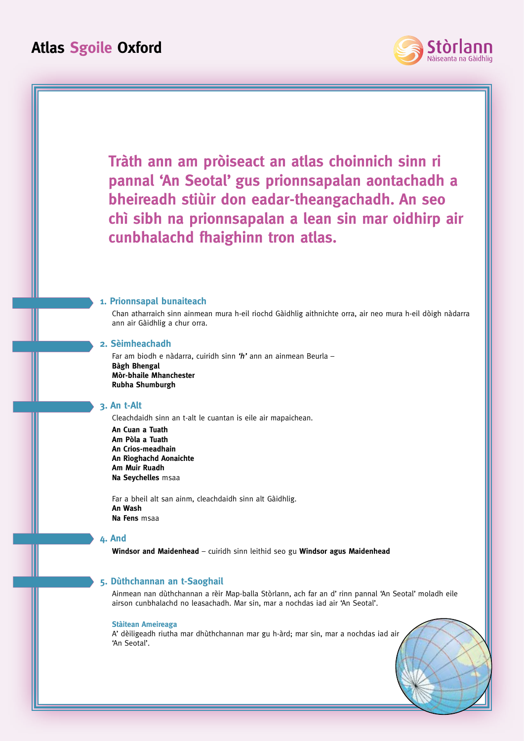



**Windsor and Maidenhead** – cuiridh sinn leithid seo gu **Windsor agus Maidenhead**

## **5. Dùthchannan an t-Saoghail**

Ainmean nan dùthchannan a rèir Map-balla Stòrlann, ach far an d' rinn pannal 'An Seotal' moladh eile airson cunbhalachd no leasachadh. Mar sin, mar a nochdas iad air 'An Seotal'.

#### **Stàitean Ameireaga**

A' dèiligeadh riutha mar dhùthchannan mar gu h-àrd; mar sin, mar a nochdas iad air 'An Seotal'.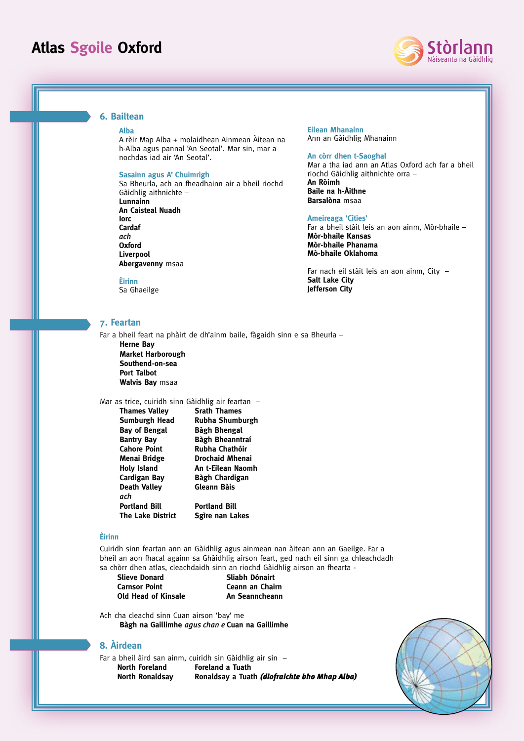

## **6. Bailtean**

### **Alba**

A rèir Map Alba + molaidhean Ainmean Àitean na h-Alba agus pannal 'An Seotal'. Mar sin, mar a nochdas iad air 'An Seotal'.

#### **Sasainn agus A' Chuimrigh**

Sa Bheurla, ach an fheadhainn air a bheil riochd Gàidhlig aithnichte – **Lunnainn**

**An Caisteal Nuadh Iorc Cardaf**  *ach*  **Oxford Liverpool Abergavenny** msaa

**Èirinn** Sa Ghaeilge

### **7. Feartan**

Far a bheil feart na phàirt de dh'ainm baile, fàgaidh sinn e sa Bheurla – **Herne Bay Market Harborough Southend-on-sea Port Talbot Walvis Bay** msaa

## Mar as trice, cuiridh sinn Gàidhlig air feartan –

| <b>Srath Thames</b>    |
|------------------------|
| Rubha Shumburgh        |
| Bàgh Bhengal           |
| Bàgh Bheanntraí        |
| Rubha Chathóir         |
| <b>Drochaid Mhenai</b> |
| An t-Eilean Naomh      |
| Bàgh Chardigan         |
| Gleann Bàis            |
|                        |
| <b>Portland Bill</b>   |
| Sgìre nan Lakes        |
|                        |

### **Èirinn**

Cuiridh sinn feartan ann an Gàidhlig agus ainmean nan àitean ann an Gaeilge. Far a bheil an aon fhacal againn sa Ghàidhlig airson feart, ged nach eil sinn ga chleachdadh sa chòrr dhen atlas, cleachdaidh sinn an riochd Gàidhlig airson an fhearta -

**Slieve Donard Sliabh Dónairt Old Head of Kinsale An Seanncheann** 

**Ceann an Chairn** 

Ach cha cleachd sinn Cuan airson 'bay' me **Bàgh na Gaillimhe** *agus chan e* **Cuan na Gaillimhe**

## **8. Àirdean**

Far a bheil àird san ainm, cuiridh sin Gàidhlig air sin – **North Foreland Foreland a Tuath North Ronaldsay Ronaldsay a Tuath** *(diofraichte bho Mhap Alba)*



#### **Eilean Mhanainn** Ann an Gàidhlig Mhanainn

### **An còrr dhen t-Saoghal**

Mar a tha iad ann an Atlas Oxford ach far a bheil riochd Gàidhlig aithnichte orra –

**An Ròimh Baile na h-Àithne Barsalòna** msaa

#### **Ameireaga 'Cities'**

Far a bheil stàit leis an aon ainm, Mòr-bhaile – **Mòr-bhaile Kansas Mòr-bhaile Phanama Mò-bhaile Oklahoma**

Far nach eil stàit leis an aon ainm, City – **Salt Lake City Jefferson City**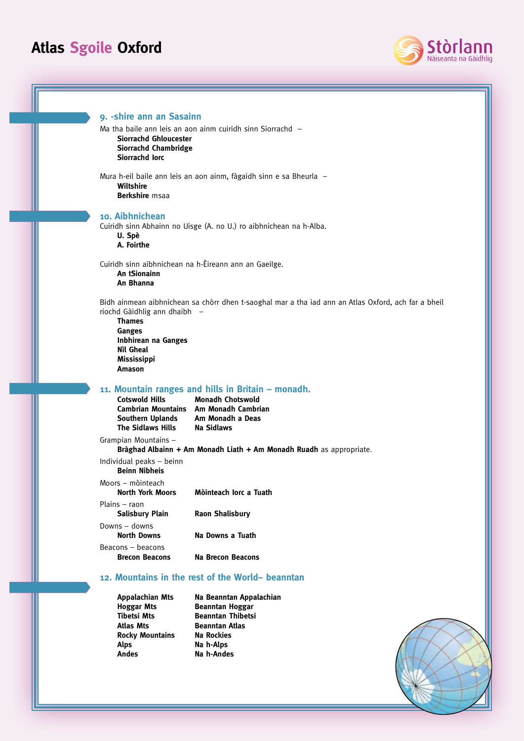

**9. -shire ann an Sasainn** Ma tha baile ann leis an aon ainm cuiridh sinn Siorrachd – **Siorrachd Ghloucester Siorrachd Chambridge Siorrachd Iorc** Mura h-eil baile ann leis an aon ainm, fàgaidh sinn e sa Bheurla – **Wiltshire Berkshire** msaa **10. Aibhnichean** Cuiridh sinn Abhainn no Uisge (A. no U.) ro aibhnichean na h-Alba. **U. Spè A. Foirthe** Cuiridh sinn aibhnichean na h-Èireann ann an Gaeilge. **An tSionainn An Bhanna** Bidh ainmean aibhnichean sa chòrr dhen t-saoghal mar a tha iad ann an Atlas Oxford, ach far a bheil riochd Gàidhlig ann dhaibh – **Thames Ganges Inbhirean na Ganges Nìl Gheal Mississippi Amason 11. Mountain ranges and hills in Britain – monadh. Cotswold Hills Monadh Chotswold Cambrian Mountains Am Monadh Cambrian Southern Uplands The Sidlaws Hills Na Sidlaws** Grampian Mountains – **Bràghad Albainn + Am Monadh Liath + Am Monadh Ruadh** as appropriate. Individual peaks – beinn **Beinn Nibheis** Moors – mòinteach **North York Moors Mòinteach Iorc a Tuath** Plains – raon **Salisbury Plain Raon Shalisbury** Downs – downs **North Downs Na Downs a Tuath** Beacons – beacons **Brecon Beacons Na Brecon Beacons 12. Mountains in the rest of the World– beanntan Appalachian Mts Na Beanntan Appalachian Hoggar Mts Beanntan Hoggar Tibetsi Mts Beanntan Thibetsi Atlas Mts Beanntan Atlas Rocky Mountains Na Rockies** Alps **Na h-Alps** Andes **Na h-Andes**